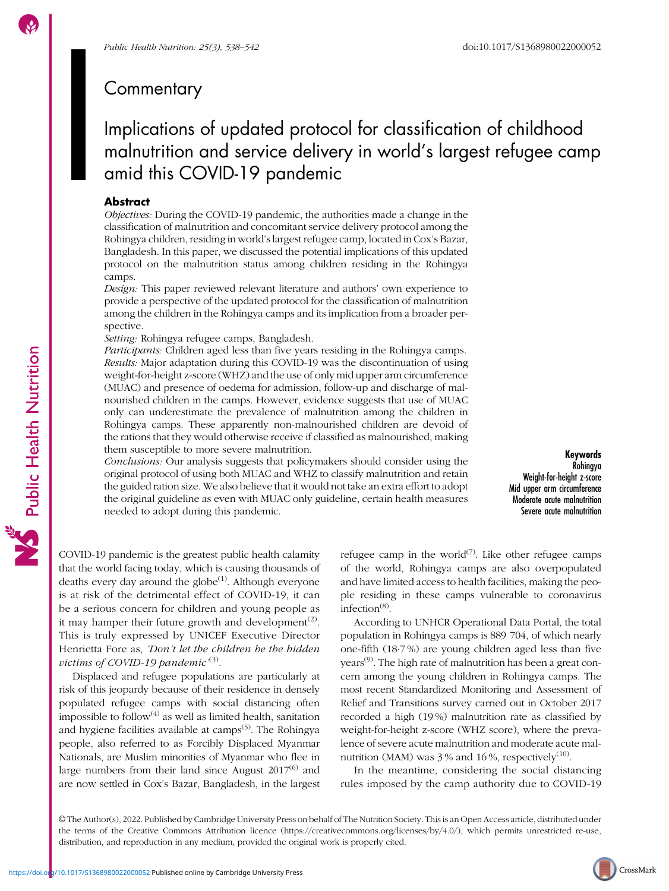Public Health Nutrition

# Implications of updated protocol for classification of childhood malnutrition and service delivery in world's largest refugee camp amid this COVID-19 pandemic

# **Abstract**

Objectives: During the COVID-19 pandemic, the authorities made a change in the classification of malnutrition and concomitant service delivery protocol among the Rohingya children, residing in world's largest refugee camp, located in Cox's Bazar, Bangladesh. In this paper, we discussed the potential implications of this updated protocol on the malnutrition status among children residing in the Rohingya camps.

Design: This paper reviewed relevant literature and authors' own experience to provide a perspective of the updated protocol for the classification of malnutrition among the children in the Rohingya camps and its implication from a broader perspective.

Setting: Rohingya refugee camps, Bangladesh.

Participants: Children aged less than five years residing in the Rohingya camps. Results: Major adaptation during this COVID-19 was the discontinuation of using weight-for-height z-score (WHZ) and the use of only mid upper arm circumference (MUAC) and presence of oedema for admission, follow-up and discharge of malnourished children in the camps. However, evidence suggests that use of MUAC only can underestimate the prevalence of malnutrition among the children in Rohingya camps. These apparently non-malnourished children are devoid of the rations that they would otherwise receive if classified as malnourished, making them susceptible to more severe malnutrition.

Conclusions: Our analysis suggests that policymakers should consider using the original protocol of using both MUAC and WHZ to classify malnutrition and retain the guided ration size. We also believe that it would not take an extra effort to adopt the original guideline as even with MUAC only guideline, certain health measures needed to adopt during this pandemic.

Keywords Rohingya Weight-for-height z-score Mid upper arm circumference Moderate acute malnutrition Severe acute malnutrition

COVID-19 pandemic is the greatest public health calamity that the world facing today, which is causing thousands of deaths every day around the globe $(1)$ . Although everyone is at risk of the detrimental effect of COVID-19, it can be a serious concern for children and young people as it may hamper their future growth and development<sup> $(2)$ </sup>. This is truly expressed by UNICEF Executive Director Henrietta Fore as, 'Don't let the children be the hidden victims of COVID-19 pandemic  $^{(3)}$  $^{(3)}$  $^{(3)}$ .

Displaced and refugee populations are particularly at risk of this jeopardy because of their residence in densely populated refugee camps with social distancing often impossible to follow $^{(4)}$  $^{(4)}$  $^{(4)}$  as well as limited health, sanitation and hygiene facilities available at camps<sup> $(5)$  $(5)$ </sup>. The Rohingya people, also referred to as Forcibly Displaced Myanmar Nationals, are Muslim minorities of Myanmar who flee in large numbers from their land since August  $2017^{(6)}$  $2017^{(6)}$  $2017^{(6)}$  and are now settled in Cox's Bazar, Bangladesh, in the largest refugee camp in the world $(7)$  $(7)$ . Like other refugee camps of the world, Rohingya camps are also overpopulated and have limited access to health facilities, making the people residing in these camps vulnerable to coronavirus infection $^{(8)}$  $^{(8)}$  $^{(8)}$ .

According to UNHCR Operational Data Portal, the total population in Rohingya camps is 889 704, of which nearly one-fifth (18·7 %) are young children aged less than five years<sup>([9\)](#page-3-0)</sup>. The high rate of malnutrition has been a great concern among the young children in Rohingya camps. The most recent Standardized Monitoring and Assessment of Relief and Transitions survey carried out in October 2017 recorded a high (19 %) malnutrition rate as classified by weight-for-height z-score (WHZ score), where the prevalence of severe acute malnutrition and moderate acute malnutrition (MAM) was  $3\%$  and  $16\%$ , respectively<sup>([10\)](#page-3-0)</sup>.

In the meantime, considering the social distancing rules imposed by the camp authority due to COVID-19

© The Author(s), 2022. Published by Cambridge University Press on behalf of The Nutrition Society. This is an Open Access article, distributed under the terms of the Creative Commons Attribution licence (<https://creativecommons.org/licenses/by/4.0/>), which permits unrestricted re-use, distribution, and reproduction in any medium, provided the original work is properly cited.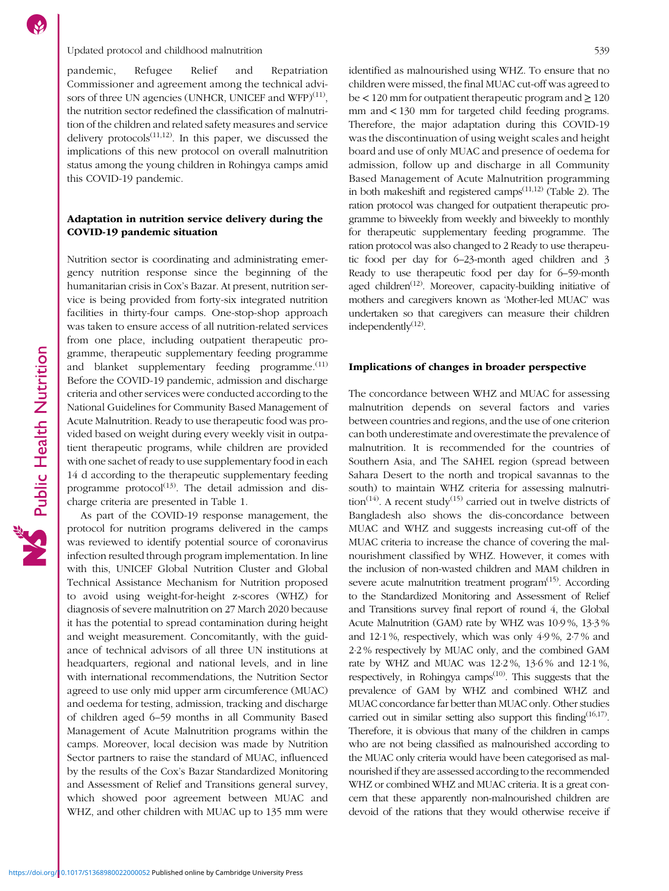pandemic, Refugee Relief and Repatriation Commissioner and agreement among the technical advisors of three UN agencies (UNHCR, UNICEF and WFP) $(11)$  $(11)$  $(11)$ , the nutrition sector redefined the classification of malnutrition of the children and related safety measures and service delivery protocols $^{(11,12)}$  $^{(11,12)}$  $^{(11,12)}$ . In this paper, we discussed the implications of this new protocol on overall malnutrition status among the young children in Rohingya camps amid this COVID-19 pandemic.

# Adaptation in nutrition service delivery during the COVID-19 pandemic situation

Nutrition sector is coordinating and administrating emergency nutrition response since the beginning of the humanitarian crisis in Cox's Bazar. At present, nutrition service is being provided from forty-six integrated nutrition facilities in thirty-four camps. One-stop-shop approach was taken to ensure access of all nutrition-related services from one place, including outpatient therapeutic programme, therapeutic supplementary feeding programme and blanket supplementary feeding programme.<sup>[\(11\)](#page-3-0)</sup> Before the COVID-19 pandemic, admission and discharge criteria and other services were conducted according to the National Guidelines for Community Based Management of Acute Malnutrition. Ready to use therapeutic food was provided based on weight during every weekly visit in outpatient therapeutic programs, while children are provided with one sachet of ready to use supplementary food in each 14 d according to the therapeutic supplementary feeding programme protocol $(13)$  $(13)$  $(13)$ . The detail admission and discharge criteria are presented in Table [1](#page-2-0).

As part of the COVID-19 response management, the protocol for nutrition programs delivered in the camps was reviewed to identify potential source of coronavirus infection resulted through program implementation. In line with this, UNICEF Global Nutrition Cluster and Global Technical Assistance Mechanism for Nutrition proposed to avoid using weight-for-height z-scores (WHZ) for diagnosis of severe malnutrition on 27 March 2020 because it has the potential to spread contamination during height and weight measurement. Concomitantly, with the guidance of technical advisors of all three UN institutions at headquarters, regional and national levels, and in line with international recommendations, the Nutrition Sector agreed to use only mid upper arm circumference (MUAC) and oedema for testing, admission, tracking and discharge of children aged 6–59 months in all Community Based Management of Acute Malnutrition programs within the camps. Moreover, local decision was made by Nutrition Sector partners to raise the standard of MUAC, influenced by the results of the Cox's Bazar Standardized Monitoring and Assessment of Relief and Transitions general survey, which showed poor agreement between MUAC and WHZ, and other children with MUAC up to 135 mm were identified as malnourished using WHZ. To ensure that no children were missed, the final MUAC cut-off was agreed to be  $\lt$  120 mm for outpatient therapeutic program and  $\geq$  120 mm and < 130 mm for targeted child feeding programs. Therefore, the major adaptation during this COVID-19 was the discontinuation of using weight scales and height board and use of only MUAC and presence of oedema for admission, follow up and discharge in all Community Based Management of Acute Malnutrition programming in both makeshift and registered camps $(11,12)$  $(11,12)$  (Table [2](#page-2-0)). The ration protocol was changed for outpatient therapeutic programme to biweekly from weekly and biweekly to monthly for therapeutic supplementary feeding programme. The ration protocol was also changed to 2 Ready to use therapeutic food per day for 6–23-month aged children and 3 Ready to use therapeutic food per day for 6–59-month aged children<sup> $(12)$  $(12)$  $(12)$ </sup>. Moreover, capacity-building initiative of mothers and caregivers known as 'Mother-led MUAC' was undertaken so that caregivers can measure their children independently $(12)$ .

### Implications of changes in broader perspective

The concordance between WHZ and MUAC for assessing malnutrition depends on several factors and varies between countries and regions, and the use of one criterion can both underestimate and overestimate the prevalence of malnutrition. It is recommended for the countries of Southern Asia, and The SAHEL region (spread between Sahara Desert to the north and tropical savannas to the south) to maintain WHZ criteria for assessing malnutri-tion<sup>[\(14\)](#page-3-0)</sup>. A recent study<sup>[\(15\)](#page-3-0)</sup> carried out in twelve districts of Bangladesh also shows the dis-concordance between MUAC and WHZ and suggests increasing cut-off of the MUAC criteria to increase the chance of covering the malnourishment classified by WHZ. However, it comes with the inclusion of non-wasted children and MAM children in severe acute malnutrition treatment program $(15)$  $(15)$  $(15)$ . According to the Standardized Monitoring and Assessment of Relief and Transitions survey final report of round 4, the Global Acute Malnutrition (GAM) rate by WHZ was 10·9 %, 13·3 % and 12·1 %, respectively, which was only 4·9 %, 2·7 % and 2·2 % respectively by MUAC only, and the combined GAM rate by WHZ and MUAC was 12·2 %, 13·6 % and 12·1 %, respectively, in Rohingya camps<sup>[\(10\)](#page-3-0)</sup>. This suggests that the prevalence of GAM by WHZ and combined WHZ and MUAC concordance far better than MUAC only. Other studies carried out in similar setting also support this finding<sup> $(16,17)$  $(16,17)$  $(16,17)$  $(16,17)$ </sup>. Therefore, it is obvious that many of the children in camps who are not being classified as malnourished according to the MUAC only criteria would have been categorised as malnourished if they are assessed according to the recommended WHZ or combined WHZ and MUAC criteria. It is a great concern that these apparently non-malnourished children are devoid of the rations that they would otherwise receive if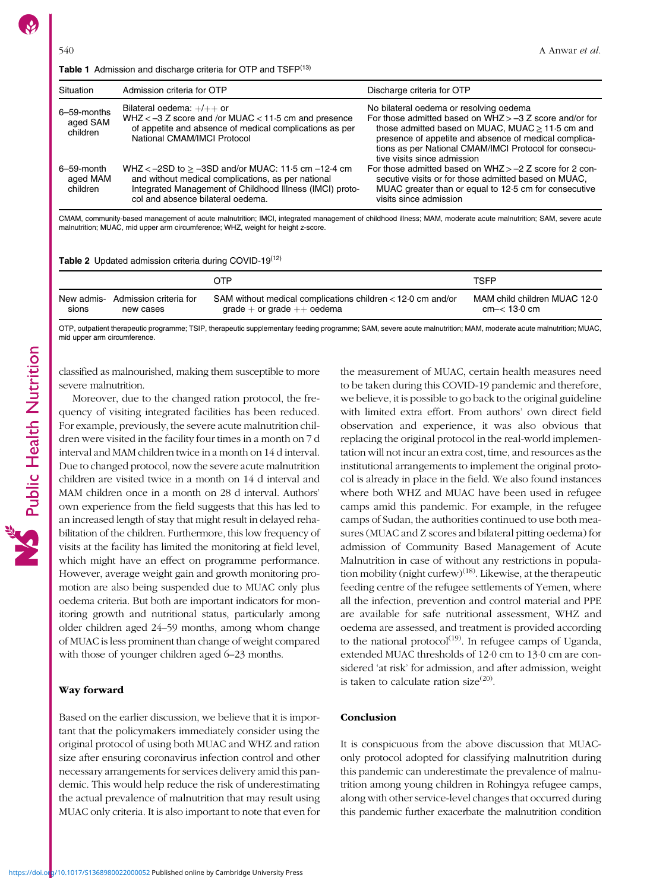<span id="page-2-0"></span>

| Situation                           | Admission criteria for OTP                                                                                                                                                                                        | Discharge criteria for OTP                                                                                                                                                                                                                                                                                     |
|-------------------------------------|-------------------------------------------------------------------------------------------------------------------------------------------------------------------------------------------------------------------|----------------------------------------------------------------------------------------------------------------------------------------------------------------------------------------------------------------------------------------------------------------------------------------------------------------|
| 6-59-months<br>aged SAM<br>children | Bilateral oedema: $+/+$ or<br>WHZ $<-3$ Z score and /or MUAC $< 11.5$ cm and presence<br>of appetite and absence of medical complications as per<br>National CMAM/IMCI Protocol                                   | No bilateral oedema or resolving oedema<br>For those admitted based on $WHZ > -3$ Z score and/or for<br>those admitted based on MUAC, MUAC $\geq$ 11.5 cm and<br>presence of appetite and absence of medical complica-<br>tions as per National CMAM/IMCI Protocol for consecu-<br>tive visits since admission |
| 6–59-month<br>aged MAM<br>children  | WHZ $<-2SD$ to $\geq -3SD$ and/or MUAC: 11.5 cm $-12.4$ cm<br>and without medical complications, as per national<br>Integrated Management of Childhood Illness (IMCI) proto-<br>col and absence bilateral oedema. | For those admitted based on $WHZ > -2$ Z score for 2 con-<br>secutive visits or for those admitted based on MUAC.<br>MUAC greater than or equal to 12.5 cm for consecutive<br>visits since admission                                                                                                           |

CMAM, community-based management of acute malnutrition; IMCI, integrated management of childhood illness; MAM, moderate acute malnutrition; SAM, severe acute malnutrition; MUAC, mid upper arm circumference; WHZ, weight for height z-score.

Table 2 Updated admission criteria during COVID-19<sup>([12\)](#page-3-0)</sup>

|       |                                   | OTP                                                           | TSFP                         |
|-------|-----------------------------------|---------------------------------------------------------------|------------------------------|
| sions | New admis- Admission criteria for | SAM without medical complications children $<$ 12.0 cm and/or | MAM child children MUAC 12.0 |
|       | new cases                         | $grade + or grade ++ oedema$                                  | cm < 13.0 cm                 |

OTP, outpatient therapeutic programme; TSIP, therapeutic supplementary feeding programme; SAM, severe acute malnutrition; MAM, moderate acute malnutrition; MUAC, mid upper arm circumference.

classified as malnourished, making them susceptible to more severe malnutrition.

Moreover, due to the changed ration protocol, the frequency of visiting integrated facilities has been reduced. For example, previously, the severe acute malnutrition children were visited in the facility four times in a month on 7 d interval and MAM children twice in a month on 14 d interval. Due to changed protocol, now the severe acute malnutrition children are visited twice in a month on 14 d interval and MAM children once in a month on 28 d interval. Authors' own experience from the field suggests that this has led to an increased length of stay that might result in delayed rehabilitation of the children. Furthermore, this low frequency of visits at the facility has limited the monitoring at field level, which might have an effect on programme performance. However, average weight gain and growth monitoring promotion are also being suspended due to MUAC only plus oedema criteria. But both are important indicators for monitoring growth and nutritional status, particularly among older children aged 24–59 months, among whom change of MUAC is less prominent than change of weight compared with those of younger children aged 6–23 months.

#### Way forward

Based on the earlier discussion, we believe that it is important that the policymakers immediately consider using the original protocol of using both MUAC and WHZ and ration size after ensuring coronavirus infection control and other necessary arrangements for services delivery amid this pandemic. This would help reduce the risk of underestimating the actual prevalence of malnutrition that may result using MUAC only criteria. It is also important to note that even for

the measurement of MUAC, certain health measures need to be taken during this COVID-19 pandemic and therefore, we believe, it is possible to go back to the original guideline with limited extra effort. From authors' own direct field observation and experience, it was also obvious that replacing the original protocol in the real-world implementation will not incur an extra cost, time, and resources as the institutional arrangements to implement the original protocol is already in place in the field. We also found instances where both WHZ and MUAC have been used in refugee camps amid this pandemic. For example, in the refugee camps of Sudan, the authorities continued to use both measures (MUAC and Z scores and bilateral pitting oedema) for admission of Community Based Management of Acute Malnutrition in case of without any restrictions in popula-tion mobility (night curfew)<sup>[\(18\)](#page-4-0)</sup>. Likewise, at the therapeutic feeding centre of the refugee settlements of Yemen, where all the infection, prevention and control material and PPE are available for safe nutritional assessment, WHZ and oedema are assessed, and treatment is provided according to the national protocol<sup>([19](#page-4-0))</sup>. In refugee camps of Uganda, extended MUAC thresholds of 12·0 cm to 13·0 cm are considered 'at risk' for admission, and after admission, weight is taken to calculate ration size $^{(20)}$  $^{(20)}$  $^{(20)}$ .

#### Conclusion

It is conspicuous from the above discussion that MUAConly protocol adopted for classifying malnutrition during this pandemic can underestimate the prevalence of malnutrition among young children in Rohingya refugee camps, along with other service-level changes that occurred during this pandemic further exacerbate the malnutrition condition

Public Health Nutrition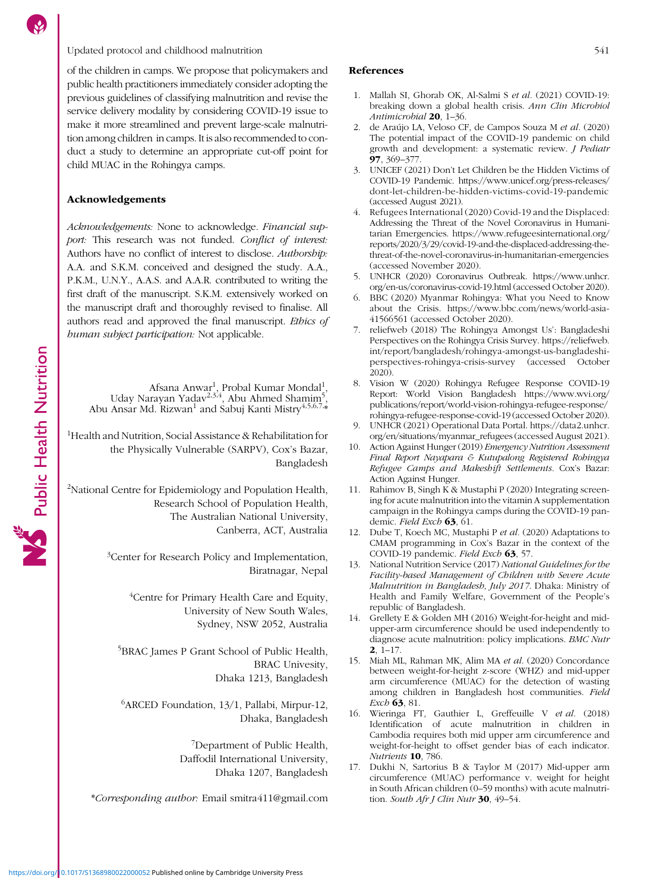# <span id="page-3-0"></span>Updated protocol and childhood malnutrition 541

of the children in camps. We propose that policymakers and public health practitioners immediately consider adopting the previous guidelines of classifying malnutrition and revise the service delivery modality by considering COVID-19 issue to make it more streamlined and prevent large-scale malnutrition among children in camps. It is also recommended to conduct a study to determine an appropriate cut-off point for child MUAC in the Rohingya camps.

## Acknowledgements

Public Health Nutrition

Acknowledgements: None to acknowledge. Financial support: This research was not funded. Conflict of interest: Authors have no conflict of interest to disclose. Authorship: A.A. and S.K.M. conceived and designed the study. A.A., P.K.M., U.N.Y., A.A.S. and A.A.R. contributed to writing the first draft of the manuscript. S.K.M. extensively worked on the manuscript draft and thoroughly revised to finalise. All authors read and approved the final manuscript. Ethics of human subject participation: Not applicable.

Afsana Anwar<sup>1</sup>, Probal Kumar Mondal<sup>1</sup>,<br>Uday Narayan Yadav<sup>2,3,4</sup>, Abu Ahmed Shamim<sup>5</sup>,<br>Abu Ansar Md. Rizwan<sup>1</sup> and Sabuj Kanti Mistry<sup>4,5,6,7,</sup>\*

<sup>1</sup>Health and Nutrition, Social Assistance & Rehabilitation for the Physically Vulnerable (SARPV), Cox's Bazar, Bangladesh

<sup>2</sup>National Centre for Epidemiology and Population Health, Research School of Population Health, The Australian National University, Canberra, ACT, Australia

> <sup>3</sup>Center for Research Policy and Implementation, Biratnagar, Nepal

> > <sup>4</sup>Centre for Primary Health Care and Equity, University of New South Wales, Sydney, NSW 2052, Australia

5 BRAC James P Grant School of Public Health, BRAC Univesity, Dhaka 1213, Bangladesh

6 ARCED Foundation, 13/1, Pallabi, Mirpur-12, Dhaka, Bangladesh

> 7 Department of Public Health, Daffodil International University, Dhaka 1207, Bangladesh

\*Corresponding author: Email [smitra411@gmail.com](mailto:smitra411@gmail.com)

# References

- 1. Mallah SI, Ghorab OK, Al-Salmi S et al. (2021) COVID-19: breaking down a global health crisis. Ann Clin Microbiol Antimicrobial 20, 1–36.
- 2. de Araújo LA, Veloso CF, de Campos Souza M et al. (2020) The potential impact of the COVID-19 pandemic on child growth and development: a systematic review. J Pediatr 97, 369–377.
- 3. UNICEF (2021) Don't Let Children be the Hidden Victims of COVID-19 Pandemic. [https://www.unicef.org/press-releases/](https://www.unicef.org/press-releases/dont-let-children-be-hidden-victims-covid-19-pandemic) [dont-let-children-be-hidden-victims-covid-19-pandemic](https://www.unicef.org/press-releases/dont-let-children-be-hidden-victims-covid-19-pandemic) (accessed August 2021).
- 4. Refugees International (2020) Covid-19 and the Displaced: Addressing the Threat of the Novel Coronavirus in Humanitarian Emergencies. [https://www.refugeesinternational.org/](https://www.refugeesinternational.org/reports/2020/3/29/covid-19-and-the-displaced-addressing-the-threat-of-the-novel-coronavirus-in-humanitarian-emergencies) [reports/2020/3/29/covid-19-and-the-displaced-addressing-the](https://www.refugeesinternational.org/reports/2020/3/29/covid-19-and-the-displaced-addressing-the-threat-of-the-novel-coronavirus-in-humanitarian-emergencies)[threat-of-the-novel-coronavirus-in-humanitarian-emergencies](https://www.refugeesinternational.org/reports/2020/3/29/covid-19-and-the-displaced-addressing-the-threat-of-the-novel-coronavirus-in-humanitarian-emergencies) (accessed November 2020).
- 5. UNHCR (2020) Coronavirus Outbreak. [https://www.unhcr.](https://www.unhcr.org/en-us/coronavirus-covid-19.html) [org/en-us/coronavirus-covid-19.html](https://www.unhcr.org/en-us/coronavirus-covid-19.html) (accessed October 2020).
- 6. BBC (2020) Myanmar Rohingya: What you Need to Know about the Crisis. [https://www.bbc.com/news/world-asia-](https://www.bbc.com/news/world-asia-41566561)[41566561](https://www.bbc.com/news/world-asia-41566561) (accessed October 2020).
- 7. reliefweb (2018) The Rohingya Amongst Us': Bangladeshi Perspectives on the Rohingya Crisis Survey. [https://reliefweb.](https://reliefweb.int/report/bangladesh/rohingya-amongst-us-bangladeshi-perspectives-rohingya-crisis-survey) [int/report/bangladesh/rohingya-amongst-us-bangladeshi](https://reliefweb.int/report/bangladesh/rohingya-amongst-us-bangladeshi-perspectives-rohingya-crisis-survey)[perspectives-rohingya-crisis-survey](https://reliefweb.int/report/bangladesh/rohingya-amongst-us-bangladeshi-perspectives-rohingya-crisis-survey) (accessed October 2020).
- 8. Vision W (2020) Rohingya Refugee Response COVID-19 Report: World Vision Bangladesh [https://www.wvi.org/](https://www.wvi.org/publications/report/world-vision-rohingya-refugee-response/rohingya-refugee-response-covid-19) [publications/report/world-vision-rohingya-refugee-response/](https://www.wvi.org/publications/report/world-vision-rohingya-refugee-response/rohingya-refugee-response-covid-19) [rohingya-refugee-response-covid-19](https://www.wvi.org/publications/report/world-vision-rohingya-refugee-response/rohingya-refugee-response-covid-19) (accessed October 2020).
- 9. UNHCR (2021) Operational Data Portal. [https://data2.unhcr.](https://data2.unhcr.org/en/situations/myanmar_refugees) [org/en/situations/myanmar\\_refugees](https://data2.unhcr.org/en/situations/myanmar_refugees) (accessed August 2021).
- 10. Action Against Hunger (2019) Emergency Nutrition Assessment Final Report Nayapara & Kutupalong Registered Rohingya Refugee Camps and Makeshift Settlements. Cox's Bazar: Action Against Hunger.
- 11. Rahimov B, Singh K & Mustaphi P (2020) Integrating screening for acute malnutrition into the vitamin A supplementation campaign in the Rohingya camps during the COVID-19 pandemic. Field Exch 63, 61.
- 12. Dube T, Koech MC, Mustaphi P et al. (2020) Adaptations to CMAM programming in Cox's Bazar in the context of the COVID-19 pandemic. Field Exch 63, 57
- 13. National Nutrition Service (2017) National Guidelines for the Facility-based Management of Children with Severe Acute Malnutrition in Bangladesh, July 2017. Dhaka: Ministry of Health and Family Welfare, Government of the People's republic of Bangladesh.
- 14. Grellety E & Golden MH (2016) Weight-for-height and midupper-arm circumference should be used independently to diagnose acute malnutrition: policy implications. BMC Nutr 2, 1–17.
- 15. Miah ML, Rahman MK, Alim MA et al. (2020) Concordance between weight-for-height z-score (WHZ) and mid-upper arm circumference (MUAC) for the detection of wasting among children in Bangladesh host communities. Field Exch **63**, 81.
- 16. Wieringa FT, Gauthier L, Greffeuille V et al. (2018) Identification of acute malnutrition in children in Cambodia requires both mid upper arm circumference and weight-for-height to offset gender bias of each indicator. Nutrients 10, 786.
- 17. Dukhi N, Sartorius B & Taylor M (2017) Mid-upper arm circumference (MUAC) performance v. weight for height in South African children (0–59 months) with acute malnutrition. South Afr J Clin Nutr 30, 49-54.